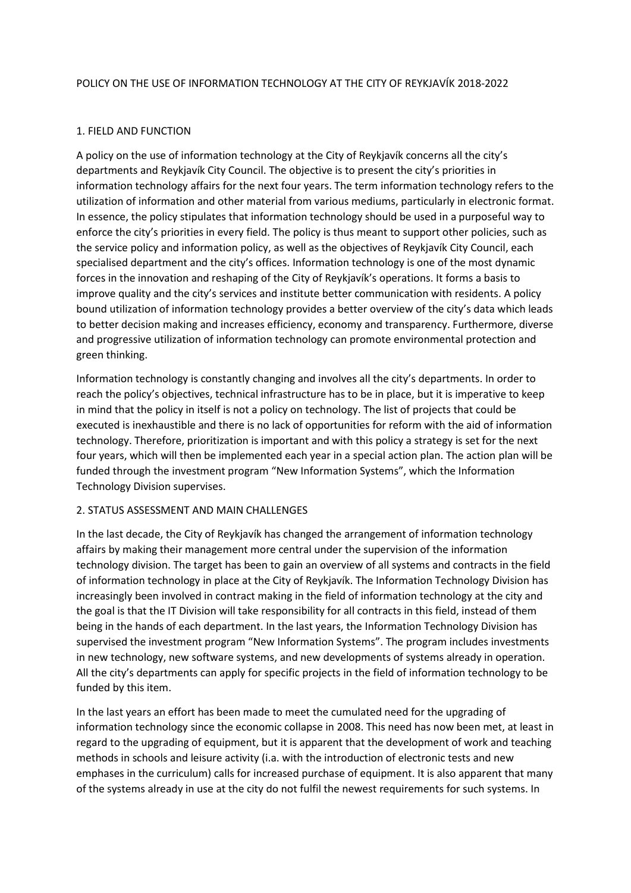#### POLICY ON THE USE OF INFORMATION TECHNOLOGY AT THE CITY OF REYKJAVÍK 2018-2022

# 1. FIELD AND FUNCTION

A policy on the use of information technology at the City of Reykjavík concerns all the city's departments and Reykjavík City Council. The objective is to present the city's priorities in information technology affairs for the next four years. The term information technology refers to the utilization of information and other material from various mediums, particularly in electronic format. In essence, the policy stipulates that information technology should be used in a purposeful way to enforce the city's priorities in every field. The policy is thus meant to support other policies, such as the service policy and information policy, as well as the objectives of Reykjavík City Council, each specialised department and the city's offices. Information technology is one of the most dynamic forces in the innovation and reshaping of the City of Reykjavík's operations. It forms a basis to improve quality and the city's services and institute better communication with residents. A policy bound utilization of information technology provides a better overview of the city's data which leads to better decision making and increases efficiency, economy and transparency. Furthermore, diverse and progressive utilization of information technology can promote environmental protection and green thinking.

Information technology is constantly changing and involves all the city's departments. In order to reach the policy's objectives, technical infrastructure has to be in place, but it is imperative to keep in mind that the policy in itself is not a policy on technology. The list of projects that could be executed is inexhaustible and there is no lack of opportunities for reform with the aid of information technology. Therefore, prioritization is important and with this policy a strategy is set for the next four years, which will then be implemented each year in a special action plan. The action plan will be funded through the investment program "New Information Systems", which the Information Technology Division supervises.

## 2. STATUS ASSESSMENT AND MAIN CHALLENGES

In the last decade, the City of Reykjavík has changed the arrangement of information technology affairs by making their management more central under the supervision of the information technology division. The target has been to gain an overview of all systems and contracts in the field of information technology in place at the City of Reykjavík. The Information Technology Division has increasingly been involved in contract making in the field of information technology at the city and the goal is that the IT Division will take responsibility for all contracts in this field, instead of them being in the hands of each department. In the last years, the Information Technology Division has supervised the investment program "New Information Systems". The program includes investments in new technology, new software systems, and new developments of systems already in operation. All the city's departments can apply for specific projects in the field of information technology to be funded by this item.

In the last years an effort has been made to meet the cumulated need for the upgrading of information technology since the economic collapse in 2008. This need has now been met, at least in regard to the upgrading of equipment, but it is apparent that the development of work and teaching methods in schools and leisure activity (i.a. with the introduction of electronic tests and new emphases in the curriculum) calls for increased purchase of equipment. It is also apparent that many of the systems already in use at the city do not fulfil the newest requirements for such systems. In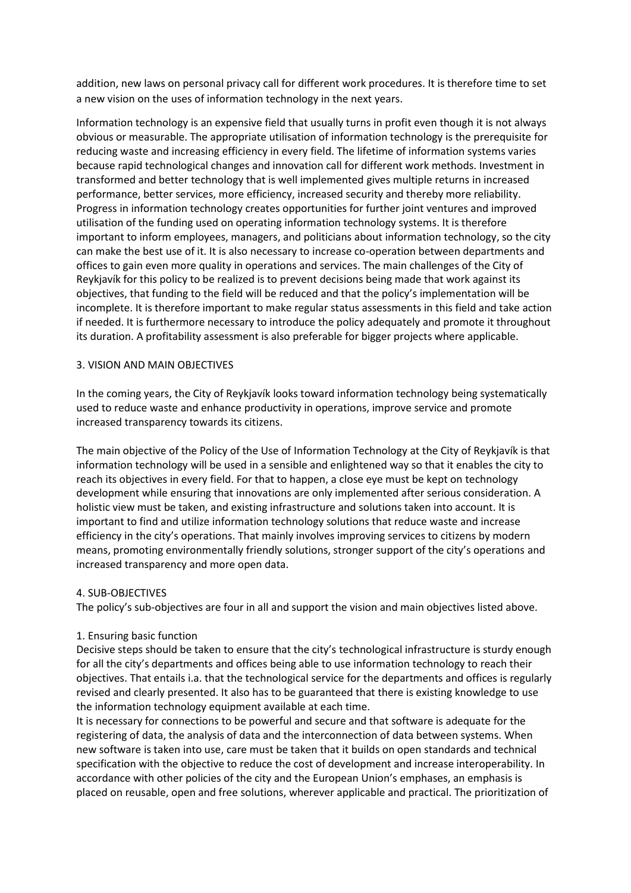addition, new laws on personal privacy call for different work procedures. It is therefore time to set a new vision on the uses of information technology in the next years.

Information technology is an expensive field that usually turns in profit even though it is not always obvious or measurable. The appropriate utilisation of information technology is the prerequisite for reducing waste and increasing efficiency in every field. The lifetime of information systems varies because rapid technological changes and innovation call for different work methods. Investment in transformed and better technology that is well implemented gives multiple returns in increased performance, better services, more efficiency, increased security and thereby more reliability. Progress in information technology creates opportunities for further joint ventures and improved utilisation of the funding used on operating information technology systems. It is therefore important to inform employees, managers, and politicians about information technology, so the city can make the best use of it. It is also necessary to increase co-operation between departments and offices to gain even more quality in operations and services. The main challenges of the City of Reykjavík for this policy to be realized is to prevent decisions being made that work against its objectives, that funding to the field will be reduced and that the policy's implementation will be incomplete. It is therefore important to make regular status assessments in this field and take action if needed. It is furthermore necessary to introduce the policy adequately and promote it throughout its duration. A profitability assessment is also preferable for bigger projects where applicable.

#### 3. VISION AND MAIN OBJECTIVES

In the coming years, the City of Reykjavík looks toward information technology being systematically used to reduce waste and enhance productivity in operations, improve service and promote increased transparency towards its citizens.

The main objective of the Policy of the Use of Information Technology at the City of Reykjavík is that information technology will be used in a sensible and enlightened way so that it enables the city to reach its objectives in every field. For that to happen, a close eye must be kept on technology development while ensuring that innovations are only implemented after serious consideration. A holistic view must be taken, and existing infrastructure and solutions taken into account. It is important to find and utilize information technology solutions that reduce waste and increase efficiency in the city's operations. That mainly involves improving services to citizens by modern means, promoting environmentally friendly solutions, stronger support of the city's operations and increased transparency and more open data.

#### 4. SUB-OBJECTIVES

The policy's sub-objectives are four in all and support the vision and main objectives listed above.

## 1. Ensuring basic function

Decisive steps should be taken to ensure that the city's technological infrastructure is sturdy enough for all the city's departments and offices being able to use information technology to reach their objectives. That entails i.a. that the technological service for the departments and offices is regularly revised and clearly presented. It also has to be guaranteed that there is existing knowledge to use the information technology equipment available at each time.

It is necessary for connections to be powerful and secure and that software is adequate for the registering of data, the analysis of data and the interconnection of data between systems. When new software is taken into use, care must be taken that it builds on open standards and technical specification with the objective to reduce the cost of development and increase interoperability. In accordance with other policies of the city and the European Union's emphases, an emphasis is placed on reusable, open and free solutions, wherever applicable and practical. The prioritization of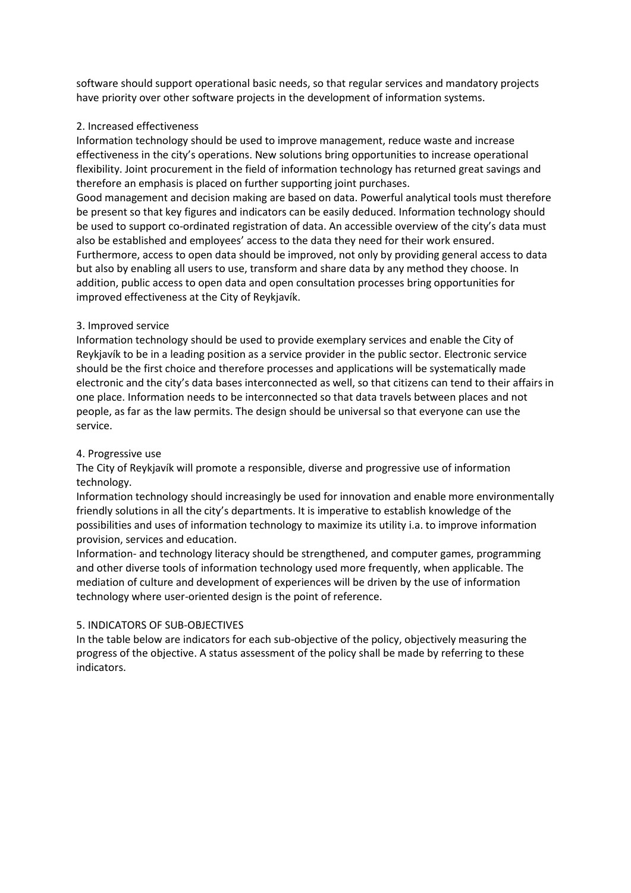software should support operational basic needs, so that regular services and mandatory projects have priority over other software projects in the development of information systems.

# 2. Increased effectiveness

Information technology should be used to improve management, reduce waste and increase effectiveness in the city's operations. New solutions bring opportunities to increase operational flexibility. Joint procurement in the field of information technology has returned great savings and therefore an emphasis is placed on further supporting joint purchases.

Good management and decision making are based on data. Powerful analytical tools must therefore be present so that key figures and indicators can be easily deduced. Information technology should be used to support co-ordinated registration of data. An accessible overview of the city's data must also be established and employees' access to the data they need for their work ensured. Furthermore, access to open data should be improved, not only by providing general access to data but also by enabling all users to use, transform and share data by any method they choose. In addition, public access to open data and open consultation processes bring opportunities for improved effectiveness at the City of Reykjavík.

# 3. Improved service

Information technology should be used to provide exemplary services and enable the City of Reykjavík to be in a leading position as a service provider in the public sector. Electronic service should be the first choice and therefore processes and applications will be systematically made electronic and the city's data bases interconnected as well, so that citizens can tend to their affairs in one place. Information needs to be interconnected so that data travels between places and not people, as far as the law permits. The design should be universal so that everyone can use the service.

## 4. Progressive use

The City of Reykjavík will promote a responsible, diverse and progressive use of information technology.

Information technology should increasingly be used for innovation and enable more environmentally friendly solutions in all the city's departments. It is imperative to establish knowledge of the possibilities and uses of information technology to maximize its utility i.a. to improve information provision, services and education.

Information- and technology literacy should be strengthened, and computer games, programming and other diverse tools of information technology used more frequently, when applicable. The mediation of culture and development of experiences will be driven by the use of information technology where user-oriented design is the point of reference.

## 5. INDICATORS OF SUB-OBJECTIVES

In the table below are indicators for each sub-objective of the policy, objectively measuring the progress of the objective. A status assessment of the policy shall be made by referring to these indicators.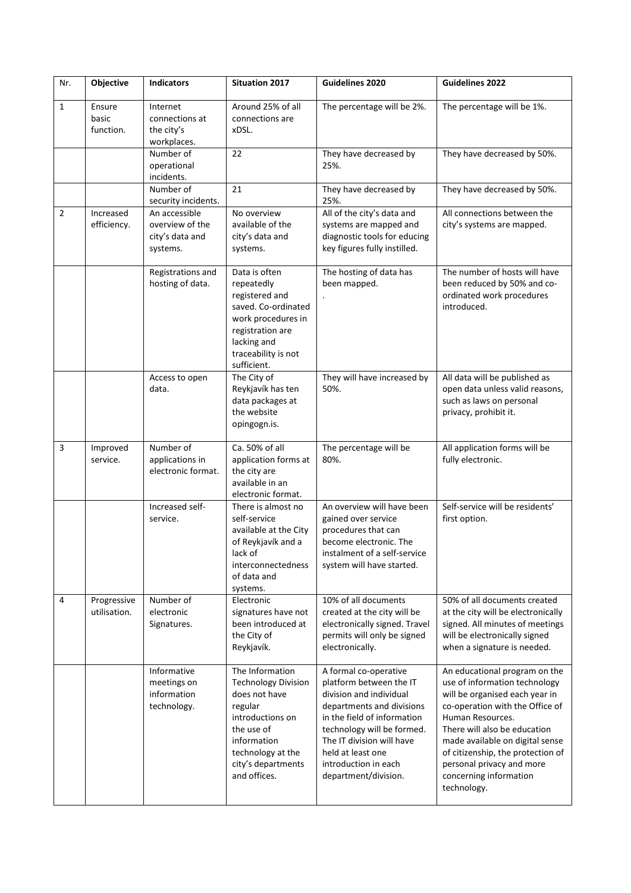| Nr.            | Objective                    | <b>Indicators</b>                                               | <b>Situation 2017</b>                                                                                                                                                                 | Guidelines 2020                                                                                                                                                                                                                                                         | <b>Guidelines 2022</b>                                                                                                                                                                                                                                                                                                                |
|----------------|------------------------------|-----------------------------------------------------------------|---------------------------------------------------------------------------------------------------------------------------------------------------------------------------------------|-------------------------------------------------------------------------------------------------------------------------------------------------------------------------------------------------------------------------------------------------------------------------|---------------------------------------------------------------------------------------------------------------------------------------------------------------------------------------------------------------------------------------------------------------------------------------------------------------------------------------|
| $\mathbf{1}$   | Ensure<br>basic<br>function. | Internet<br>connections at<br>the city's<br>workplaces.         | Around 25% of all<br>connections are<br>xDSL.                                                                                                                                         | The percentage will be 2%.                                                                                                                                                                                                                                              | The percentage will be 1%.                                                                                                                                                                                                                                                                                                            |
|                |                              | Number of<br>operational<br>incidents.                          | 22                                                                                                                                                                                    | They have decreased by<br>25%.                                                                                                                                                                                                                                          | They have decreased by 50%.                                                                                                                                                                                                                                                                                                           |
|                |                              | Number of<br>security incidents.                                | 21                                                                                                                                                                                    | They have decreased by<br>25%.                                                                                                                                                                                                                                          | They have decreased by 50%.                                                                                                                                                                                                                                                                                                           |
| $\overline{2}$ | Increased<br>efficiency.     | An accessible<br>overview of the<br>city's data and<br>systems. | No overview<br>available of the<br>city's data and<br>systems.                                                                                                                        | All of the city's data and<br>systems are mapped and<br>diagnostic tools for educing<br>key figures fully instilled.                                                                                                                                                    | All connections between the<br>city's systems are mapped.                                                                                                                                                                                                                                                                             |
|                |                              | Registrations and<br>hosting of data.                           | Data is often<br>repeatedly<br>registered and<br>saved. Co-ordinated<br>work procedures in<br>registration are<br>lacking and<br>traceability is not<br>sufficient.                   | The hosting of data has<br>been mapped.                                                                                                                                                                                                                                 | The number of hosts will have<br>been reduced by 50% and co-<br>ordinated work procedures<br>introduced.                                                                                                                                                                                                                              |
|                |                              | Access to open<br>data.                                         | The City of<br>Reykjavík has ten<br>data packages at<br>the website<br>opingogn.is.                                                                                                   | They will have increased by<br>50%.                                                                                                                                                                                                                                     | All data will be published as<br>open data unless valid reasons,<br>such as laws on personal<br>privacy, prohibit it.                                                                                                                                                                                                                 |
| 3              | Improved<br>service.         | Number of<br>applications in<br>electronic format.              | Ca. 50% of all<br>application forms at<br>the city are<br>available in an<br>electronic format.                                                                                       | The percentage will be<br>80%.                                                                                                                                                                                                                                          | All application forms will be<br>fully electronic.                                                                                                                                                                                                                                                                                    |
|                |                              | Increased self-<br>service.                                     | There is almost no<br>self-service<br>available at the City<br>of Reykjavík and a<br>lack of<br>interconnectedness<br>of data and<br>systems.                                         | An overview will have been<br>gained over service<br>procedures that can<br>become electronic. The<br>instalment of a self-service<br>system will have started.                                                                                                         | Self-service will be residents'<br>first option.                                                                                                                                                                                                                                                                                      |
| 4              | Progressive<br>utilisation.  | Number of<br>electronic<br>Signatures.                          | Electronic<br>signatures have not<br>been introduced at<br>the City of<br>Reykjavík.                                                                                                  | 10% of all documents<br>created at the city will be<br>electronically signed. Travel<br>permits will only be signed<br>electronically.                                                                                                                                  | 50% of all documents created<br>at the city will be electronically<br>signed. All minutes of meetings<br>will be electronically signed<br>when a signature is needed.                                                                                                                                                                 |
|                |                              | Informative<br>meetings on<br>information<br>technology.        | The Information<br><b>Technology Division</b><br>does not have<br>regular<br>introductions on<br>the use of<br>information<br>technology at the<br>city's departments<br>and offices. | A formal co-operative<br>platform between the IT<br>division and individual<br>departments and divisions<br>in the field of information<br>technology will be formed.<br>The IT division will have<br>held at least one<br>introduction in each<br>department/division. | An educational program on the<br>use of information technology<br>will be organised each year in<br>co-operation with the Office of<br>Human Resources.<br>There will also be education<br>made available on digital sense<br>of citizenship, the protection of<br>personal privacy and more<br>concerning information<br>technology. |